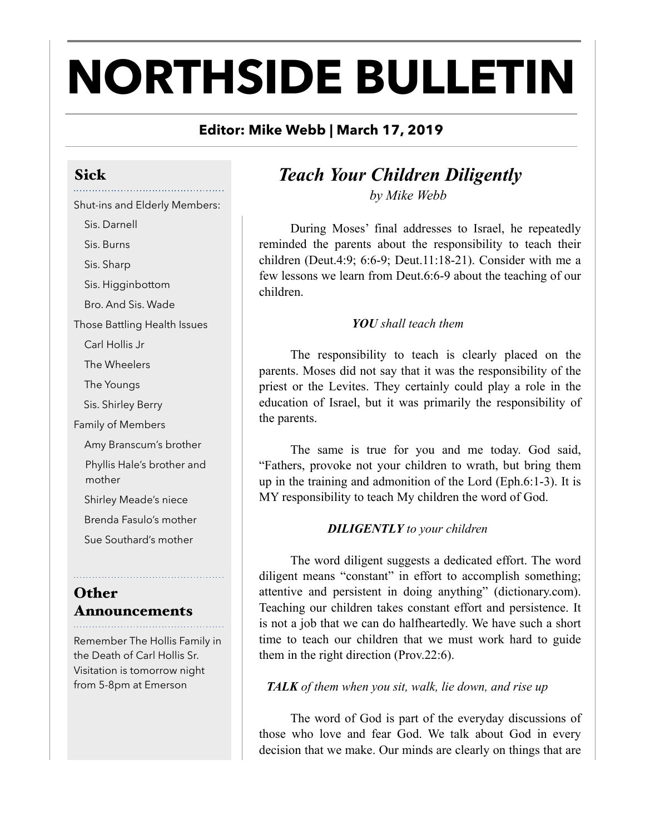# **NORTHSIDE BULLETIN**

## **Editor: Mike Webb | March 17, 2019**

## Sick

## Shut-ins and Elderly Members:

Sis. Darnell

Sis. Burns

Sis. Sharp

Sis. Higginbottom

Bro. And Sis. Wade

Those Battling Health Issues

Carl Hollis Jr

The Wheelers

The Youngs

Sis. Shirley Berry

Family of Members

Amy Branscum's brother

Phyllis Hale's brother and mother

Shirley Meade's niece

Brenda Fasulo's mother

Sue Southard's mother

## **Other** Announcements

Remember The Hollis Family in the Death of Carl Hollis Sr. Visitation is tomorrow night from 5-8pm at Emerson

## *Teach Your Children Diligently by Mike Webb*

 During Moses' final addresses to Israel, he repeatedly reminded the parents about the responsibility to teach their children (Deut.4:9; 6:6-9; Deut.11:18-21). Consider with me a few lessons we learn from Deut.6:6-9 about the teaching of our children.

## *YOU shall teach them*

 The responsibility to teach is clearly placed on the parents. Moses did not say that it was the responsibility of the priest or the Levites. They certainly could play a role in the education of Israel, but it was primarily the responsibility of the parents.

 The same is true for you and me today. God said, "Fathers, provoke not your children to wrath, but bring them up in the training and admonition of the Lord (Eph.6:1-3). It is MY responsibility to teach My children the word of God.

## *DILIGENTLY to your children*

 The word diligent suggests a dedicated effort. The word diligent means "constant" in effort to accomplish something; attentive and persistent in doing anything" (dictionary.com). Teaching our children takes constant effort and persistence. It is not a job that we can do halfheartedly. We have such a short time to teach our children that we must work hard to guide them in the right direction (Prov.22:6).

## *TALK of them when you sit, walk, lie down, and rise up*

 The word of God is part of the everyday discussions of those who love and fear God. We talk about God in every decision that we make. Our minds are clearly on things that are